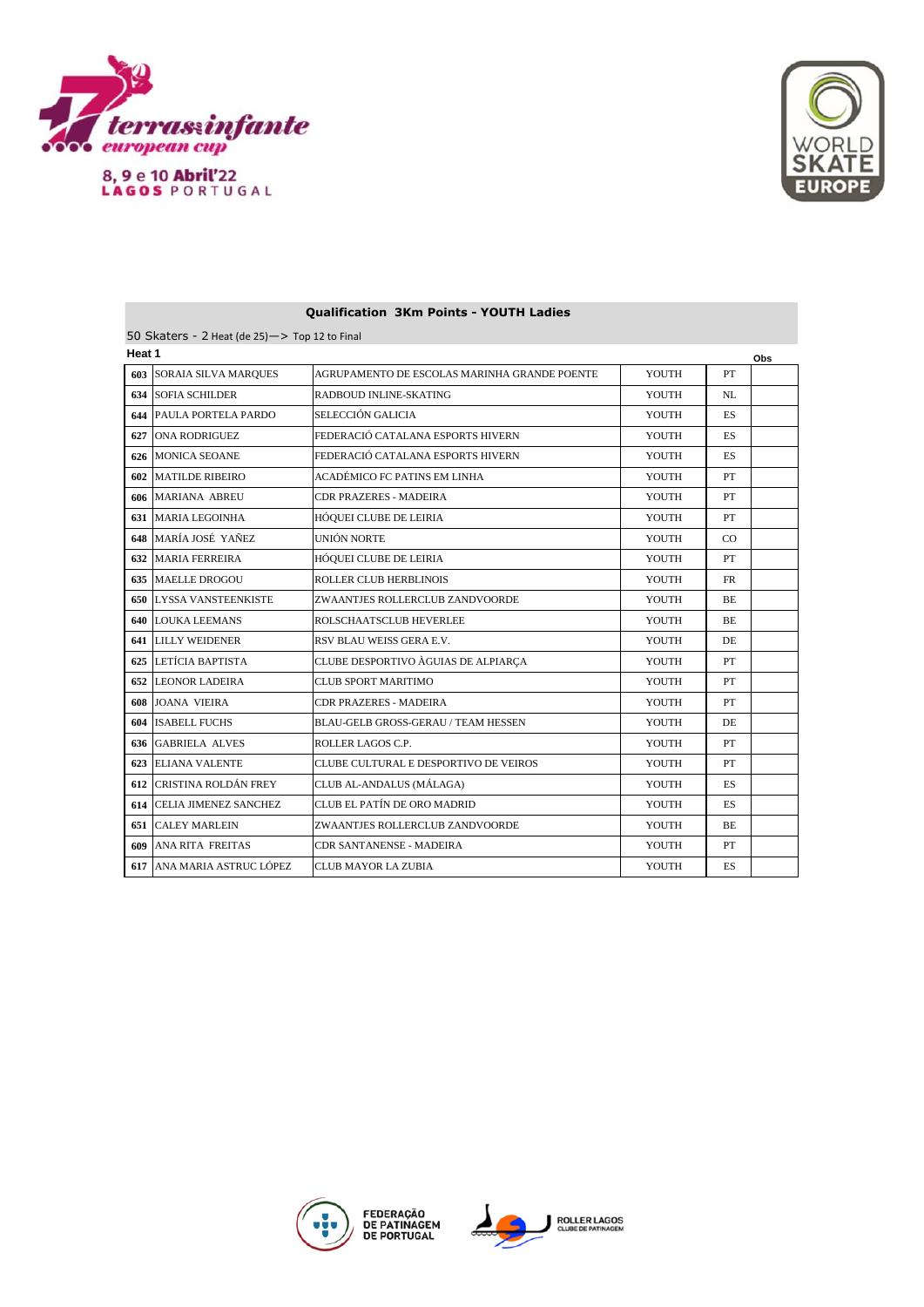



| Heat 1 |                            |                                              |       |           | Obs |
|--------|----------------------------|----------------------------------------------|-------|-----------|-----|
| 603    | SORAIA SILVA MARQUES       | AGRUPAMENTO DE ESCOLAS MARINHA GRANDE POENTE | YOUTH | PT        |     |
| 634    | <b>SOFIA SCHILDER</b>      | RADBOUD INLINE-SKATING                       | YOUTH | NL        |     |
| 644    | PAULA PORTELA PARDO        | SELECCIÓN GALICIA                            | YOUTH | <b>ES</b> |     |
| 627    | <b>ONA RODRIGUEZ</b>       | FEDERACIÓ CATALANA ESPORTS HIVERN            | YOUTH | ES.       |     |
| 626    | <b>MONICA SEOANE</b>       | FEDERACIÓ CATALANA ESPORTS HIVERN            | YOUTH | ES.       |     |
| 602    | <b>MATILDE RIBEIRO</b>     | ACADÉMICO FC PATINS EM LINHA                 | YOUTH | PT        |     |
| 606    | <b>MARIANA ABREU</b>       | <b>CDR PRAZERES - MADEIRA</b>                | YOUTH | PT        |     |
| 631    | MARIA LEGOINHA             | HÓQUEI CLUBE DE LEIRIA                       | YOUTH | PT        |     |
| 648    | MARÍA JOSÉ YAÑEZ           | UNIÓN NORTE                                  | YOUTH | CO.       |     |
| 632    | <b>MARIA FERREIRA</b>      | <b>HÓQUEI CLUBE DE LEIRIA</b>                | YOUTH | PT        |     |
| 635    | <b>MAELLE DROGOU</b>       | <b>ROLLER CLUB HERBLINOIS</b>                | YOUTH | <b>FR</b> |     |
| 650    | <b>LYSSA VANSTEENKISTE</b> | ZWAANTJES ROLLERCLUB ZANDVOORDE              | YOUTH | ВE        |     |
| 640    | <b>LOUKA LEEMANS</b>       | ROLSCHAATSCLUB HEVERLEE                      | YOUTH | ВE        |     |
| 641    | <b>LILLY WEIDENER</b>      | RSV BLAU WEISS GERA E.V.                     | YOUTH | DE.       |     |
| 625    | LETÍCIA BAPTISTA           | CLUBE DESPORTIVO ÀGUIAS DE ALPIARÇA          | YOUTH | PT        |     |
| 652    | <b>LEONOR LADEIRA</b>      | <b>CLUB SPORT MARITIMO</b>                   | YOUTH | PT        |     |
| 608    | <b>JOANA VIEIRA</b>        | CDR PRAZERES - MADEIRA                       | YOUTH | PT        |     |
| 604    | <b>ISABELL FUCHS</b>       | <b>BLAU-GELB GROSS-GERAU / TEAM HESSEN</b>   | YOUTH | DE.       |     |
| 636    | <b>GABRIELA ALVES</b>      | ROLLER LAGOS C.P.                            | YOUTH | PT        |     |
| 623    | <b>ELIANA VALENTE</b>      | CLUBE CULTURAL E DESPORTIVO DE VEIROS        | YOUTH | PT        |     |
| 612    | CRISTINA ROLDÁN FREY       | CLUB AL-ANDALUS (MÁLAGA)                     | YOUTH | ES        |     |
| 614    | CELIA JIMENEZ SANCHEZ      | CLUB EL PATÍN DE ORO MADRID                  | YOUTH | ES.       |     |
| 651    | <b>CALEY MARLEIN</b>       | ZWAANTJES ROLLERCLUB ZANDVOORDE              | YOUTH | BE        |     |
| 609    | ANA RITA FREITAS           | CDR SANTANENSE - MADEIRA                     | YOUTH | PT        |     |
| 617    | ANA MARIA ASTRUC LÓPEZ     | CLUB MAYOR LA ZUBIA                          | YOUTH | ES        |     |
|        |                            |                                              |       |           |     |

## **Qualification 3Km Points - YOUTH Ladies**